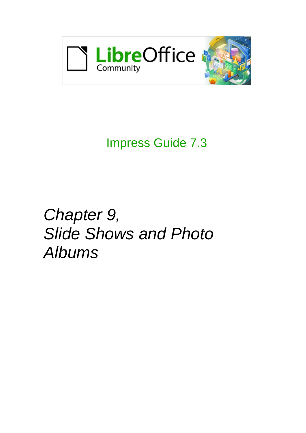

# Impress Guide 7.3

# *Chapter 9, Slide Shows and Photo Albums*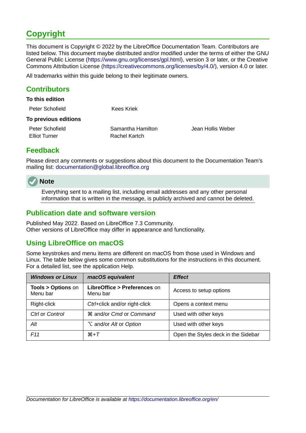# <span id="page-1-4"></span>**Copyright**

This document is Copyright © 2022 by the LibreOffice Documentation Team. Contributors are listed below. This document maybe distributed and/or modified under the terms of either the GNU General Public License (<https://www.gnu.org/licenses/gpl.html>), version 3 or later, or the Creative Commons Attribution License (<https://creativecommons.org/licenses/by/4.0/>), version 4.0 or later.

All trademarks within this guide belong to their legitimate owners.

#### <span id="page-1-3"></span>**Contributors**

| To this edition                         |                                    |                   |
|-----------------------------------------|------------------------------------|-------------------|
| Peter Schofield                         | Kees Kriek                         |                   |
| To previous editions                    |                                    |                   |
| Peter Schofield<br><b>Elliot Turner</b> | Samantha Hamilton<br>Rachel Kartch | Jean Hollis Weber |

#### <span id="page-1-2"></span>**Feedback**

Please direct any comments or suggestions about this document to the Documentation Team's mailing list: [documentation@global.libreoffice.org](mailto:documentation@global.libreoffice.org)



Everything sent to a mailing list, including email addresses and any other personal information that is written in the message, is publicly archived and cannot be deleted.

#### <span id="page-1-1"></span>**Publication date and software version**

Published May 2022. Based on LibreOffice 7.3 Community. Other versions of LibreOffice may differ in appearance and functionality.

## <span id="page-1-0"></span>**Using LibreOffice on macOS**

Some keystrokes and menu items are different on macOS from those used in Windows and Linux. The table below gives some common substitutions for the instructions in this document. For a detailed list, see the application Help.

| <b>Windows or Linux</b>                  | macOS equivalent                         | <b>Effect</b>                       |  |
|------------------------------------------|------------------------------------------|-------------------------------------|--|
| <b>Tools &gt; Options on</b><br>Menu bar | LibreOffice > Preferences on<br>Menu bar | Access to setup options             |  |
| Right-click                              | Ctrl+click and/or right-click            | Opens a context menu                |  |
| Ctrl or Control                          | <b>\\$</b> and/or Cmd or Command         | Used with other keys                |  |
| Alt                                      | $\sum$ and/or Alt or Option              | Used with other keys                |  |
| F11                                      | $\mathcal{H} + \mathcal{T}$              | Open the Styles deck in the Sidebar |  |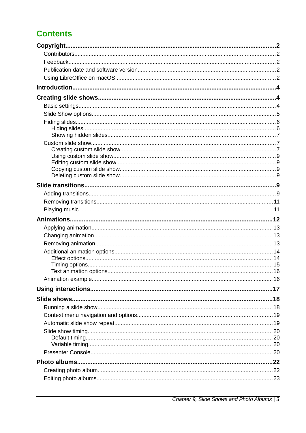# **Contents**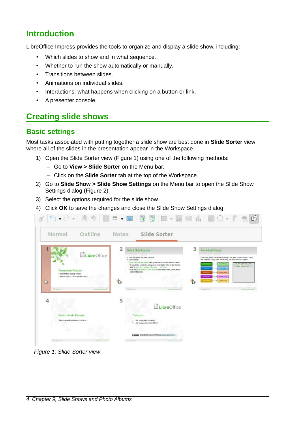# <span id="page-3-2"></span>**Introduction**

LibreOffice Impress provides the tools to organize and display a slide show, including:

- Which slides to show and in what sequence.
- Whether to run the show automatically or manually.
- Transitions between slides.
- Animations on individual slides.
- Interactions: what happens when clicking on a button or link.
- A presenter console.

# <span id="page-3-1"></span>**Creating slide shows**

#### <span id="page-3-0"></span>**Basic settings**

Most tasks associated with putting together a slide show are best done in **Slide Sorter** view where all of the slides in the presentation appear in the Workspace.

- 1) Open the Slide Sorter view (Figure [1\)](#page-3-3) using one of the following methods:
	- Go to **View > Slide Sorter** on the Menu bar.
	- Click on the **Slide Sorter** tab at the top of the Workspace.
- 2) Go to **Slide Show > Slide Show Settings** on the Menu bar to open the Slide Show Settings dialog (Figure [2](#page-4-1)).
- 3) Select the options required for the slide show.
- 4) Click **OK** to save the changes and close the Slide Show Settings dialog.



<span id="page-3-3"></span>*Figure 1: Slide Sorter view*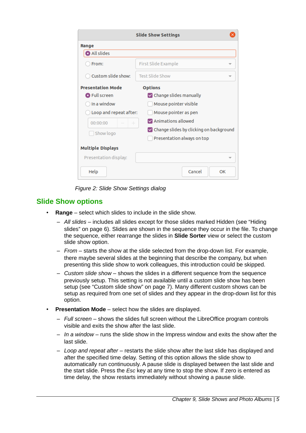|                          | <b>Slide Show Settings</b>              |
|--------------------------|-----------------------------------------|
| Range                    |                                         |
| All slides               |                                         |
| From:                    | First Slide Example                     |
| Custom slide show:       | <b>Test Slide Show</b>                  |
| <b>Presentation Mode</b> | <b>Options</b>                          |
| <b>O</b> Full screen     | Change slides manually                  |
| In a window              | Mouse pointer visible                   |
| Loop and repeat after:   | Mouse pointer as pen                    |
| $\!+\!$<br>00:00:00      | Animations allowed                      |
| Show logo                | Change slides by clicking on background |
|                          | Presentation always on top              |
| <b>Multiple Displays</b> |                                         |
| Presentation display:    |                                         |
| Help                     | Cancel<br>OK                            |

<span id="page-4-1"></span>*Figure 2: Slide Show Settings dialog*

## <span id="page-4-0"></span>**Slide Show options**

- **Range** select which slides to include in the slide show.
	- *All slides* includes all slides except for those slides marked Hidden (see ["Hiding](#page-5-1)  [slides"](#page-5-1) on page [6\)](#page-5-1). Slides are shown in the sequence they occur in the file. To change the sequence, either rearrange the slides in **Slide Sorter** view or select the custom slide show option.
	- *From* starts the show at the slide selected from the drop-down list. For example, there maybe several slides at the beginning that describe the company, but when presenting this slide show to work colleagues, this introduction could be skipped.
	- *Custom slide show* shows the slides in a different sequence from the sequence previously setup. This setting is not available until a custom slide show has been setup (see "[Custom slide show](#page-6-1)" on page [7\)](#page-6-1). Many different custom shows can be setup as required from one set of slides and they appear in the drop-down list for this option.
- **Presentation Mode** select how the slides are displayed.
	- *Full screen* shows the slides full screen without the LibreOffice program controls visible and exits the show after the last slide.
	- *In a window* runs the slide show in the Impress window and exits the show after the last slide.
	- *Loop and repeat after* restarts the slide show after the last slide has displayed and after the specified time delay. Setting of this option allows the slide show to automatically run continuously. A pause slide is displayed between the last slide and the start slide. Press the *Esc* key at any time to stop the show. If zero is entered as time delay, the show restarts immediately without showing a pause slide.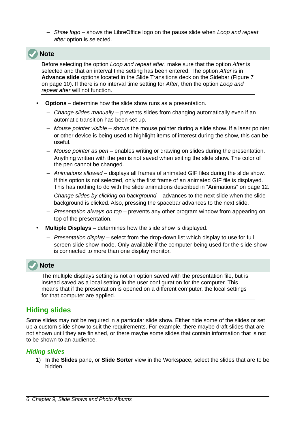– *Show logo* – shows the LibreOffice logo on the pause slide when *Loop and repeat after* option is selected.

## **Note**

Before selecting the option *Loop and repeat after*, make sure that the option *After* is selected and that an interval time setting has been entered. The option *After* is in **Advance slide** options located in the Slide Transitions deck on the Sidebar (Figure [7](#page-9-0) on page [10](#page-9-0)). If there is no interval time setting for *After*, then the option *Loop and repeat after* will not function.

- **Options** determine how the slide show runs as a presentation.
	- *Change slides manually* prevents slides from changing automatically even if an automatic transition has been set up.
	- *Mouse pointer visible* shows the mouse pointer during a slide show. If a laser pointer or other device is being used to highlight items of interest during the show, this can be useful.
	- *Mouse pointer as pen* enables writing or drawing on slides during the presentation. Anything written with the pen is not saved when exiting the slide show. The color of the pen cannot be changed.
	- *Animations allowed* displays all frames of animated GIF files during the slide show. If this option is not selected, only the first frame of an animated GIF file is displayed. This has nothing to do with the slide animations described in ["Animations"](#page-11-0) on page [12](#page-11-0).
	- *Change slides by clicking on background* advances to the next slide when the slide background is clicked. Also, pressing the spacebar advances to the next slide.
	- *Presentation always on top* prevents any other program window from appearing on top of the presentation.
- **Multiple Displays** determines how the slide show is displayed.
	- *Presentation display* select from the drop-down list which display to use for full screen slide show mode. Only available if the computer being used for the slide show is connected to more than one display monitor.

# **Note**

The multiple displays setting is not an option saved with the presentation file, but is instead saved as a local setting in the user configuration for the computer. This means that if the presentation is opened on a different computer, the local settings for that computer are applied.

## <span id="page-5-1"></span>**Hiding slides**

Some slides may not be required in a particular slide show. Either hide some of the slides or set up a custom slide show to suit the requirements. For example, there maybe draft slides that are not shown until they are finished, or there maybe some slides that contain information that is not to be shown to an audience.

#### <span id="page-5-0"></span>*Hiding slides*

1) In the **Slides** pane, or **Slide Sorter** view in the Workspace, select the slides that are to be hidden.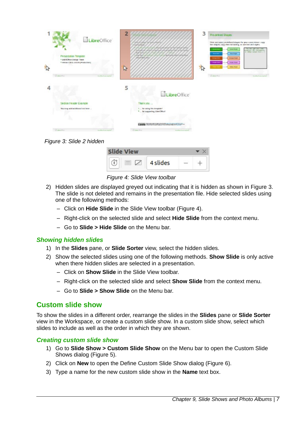| LibreOffice <sup>®</sup><br><b>Presentation Template</b><br>· Libratiffice Design Team<br>1 Western 2012 14:20 (Photo claim)<br><b>A</b> | $\overline{2}$<br><u>Manach</u><br>of collection about her calls allowed at<br><i><b>START ATTOR</b></i><br>all sales all sales per all all sales all sales all sales<br>ทำเพิ่มที่เล่น เพิ่มทำเพิ่มทำเพิ่มทำเพิ่มทำเพิ่มทำเพิ่มที่เพิ่ม<br><b>JEvannen</b> , allow<br>$\mathbb{R}$ | 3<br>Pre-defined Shapes<br>Here are some predefined shapes for your convenience: copy<br>the shapes, copy their formatting, or use the LBC styles.<br>test way, said types a<br><b>Sales &amp; Spit</b><br>stamples, WL statements.<br>ar asked subject here and<br><b>Bastron</b><br><b>Baa Dark</b><br><b>Change Strate</b><br><b>KAYOL BAY</b><br><b>William Street</b><br><b>PAGE STOR</b><br>$-4$ nite ture<br>公<br><b>TRAIN TIME</b> |
|------------------------------------------------------------------------------------------------------------------------------------------|-------------------------------------------------------------------------------------------------------------------------------------------------------------------------------------------------------------------------------------------------------------------------------------|--------------------------------------------------------------------------------------------------------------------------------------------------------------------------------------------------------------------------------------------------------------------------------------------------------------------------------------------------------------------------------------------------------------------------------------------|
| <b>University</b><br>Martin Scott and Co.                                                                                                |                                                                                                                                                                                                                                                                                     | Shawairon<br><b>Market Charles Louis</b>                                                                                                                                                                                                                                                                                                                                                                                                   |
|                                                                                                                                          | 5<br>LibreOffice <sup>®</sup>                                                                                                                                                                                                                                                       |                                                                                                                                                                                                                                                                                                                                                                                                                                            |
| Sedion Header Example                                                                                                                    | Thank you                                                                                                                                                                                                                                                                           |                                                                                                                                                                                                                                                                                                                                                                                                                                            |
| You may add additional lest here                                                                                                         | for using this lemplate!<br>*  for supporting Libre Office!                                                                                                                                                                                                                         |                                                                                                                                                                                                                                                                                                                                                                                                                                            |
|                                                                                                                                          | EXPERT SUSFURING WAS SAFEKEEPING.                                                                                                                                                                                                                                                   |                                                                                                                                                                                                                                                                                                                                                                                                                                            |
| <b>Ulawarea</b><br>Martin Corp. and the                                                                                                  | those was<br><b>Martin Corporation</b>                                                                                                                                                                                                                                              |                                                                                                                                                                                                                                                                                                                                                                                                                                            |

<span id="page-6-4"></span>*Figure 3: Slide 2 hidden*

| lide View |          |  |
|-----------|----------|--|
|           | 4 slides |  |

<span id="page-6-3"></span>*Figure 4: Slide View toolbar*

- 2) Hidden slides are displayed greyed out indicating that it is hidden as shown in Figure [3](#page-6-4). The slide is not deleted and remains in the presentation file. Hide selected slides using one of the following methods:
	- Click on **Hide Slide** in the Slide View toolbar (Figure [4](#page-6-3)).
	- Right-click on the selected slide and select **Hide Slide** from the context menu.
	- Go to **Slide > Hide Slide** on the Menu bar.

#### <span id="page-6-2"></span>*Showing hidden slides*

- 1) In the **Slides** pane, or **Slide Sorter** view, select the hidden slides.
- 2) Show the selected slides using one of the following methods. **Show Slide** is only active when there hidden slides are selected in a presentation.
	- Click on **Show Slide** in the Slide View toolbar.
	- Right-click on the selected slide and select **Show Slide** from the context menu.
	- Go to **Slide > Show Slide** on the Menu bar.

## <span id="page-6-1"></span>**Custom slide show**

To show the slides in a different order, rearrange the slides in the **Slides** pane or **Slide Sorter** view in the Workspace, or create a custom slide show. In a custom slide show, select which slides to include as well as the order in which they are shown.

#### <span id="page-6-0"></span>*Creating custom slide show*

- 1) Go to **Slide Show > Custom Slide Show** on the Menu bar to open the Custom Slide Shows dialog (Figure [5](#page-7-1)).
- 2) Click on **New** to open the Define Custom Slide Show dialog (Figure [6](#page-7-0)).
- 3) Type a name for the new custom slide show in the **Name** text box.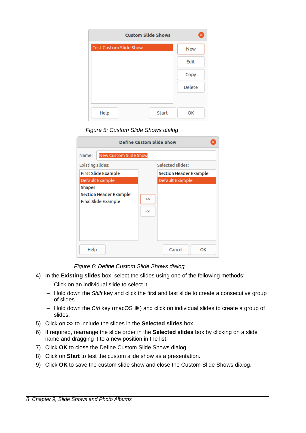| <b>Custom Slide Shows</b>     | ×             |
|-------------------------------|---------------|
| <b>Test Custom Slide Show</b> | <b>New</b>    |
|                               | Edit          |
|                               | Copy          |
|                               | <b>Delete</b> |
|                               |               |
| Help<br>Start                 | OK            |

<span id="page-7-1"></span>*Figure 5: Custom Slide Shows dialog*

| <b>Define Custom Slide Show</b>                                              |                               |  |  |  |  |
|------------------------------------------------------------------------------|-------------------------------|--|--|--|--|
| <b>New Custom Slide Show</b><br>Name:                                        |                               |  |  |  |  |
| Existing slides:                                                             | Selected slides:              |  |  |  |  |
| First Slide Example                                                          | <b>Section Header Example</b> |  |  |  |  |
| Default Example                                                              | Default Example               |  |  |  |  |
| <b>Shapes</b><br><b>Section Header Example</b><br><b>Final Slide Example</b> | ><br><<                       |  |  |  |  |
| Help                                                                         | Cancel<br>OK                  |  |  |  |  |

<span id="page-7-0"></span>*Figure 6: Define Custom Slide Shows dialog*

- 4) In the **Existing slides** box, select the slides using one of the following methods:
	- Click on an individual slide to select it.
	- Hold down the *Shift* key and click the first and last slide to create a consecutive group of slides.
	- Hold down the *Ctrl* key (macOS  $\mathcal{H}$ ) and click on individual slides to create a group of slides.
- 5) Click on **>>** to include the slides in the **Selected slides** box.
- 6) If required, rearrange the slide order in the **Selected slides** box by clicking on a slide name and dragging it to a new position in the list.
- 7) Click **OK** to close the Define Custom Slide Shows dialog.
- 8) Click on **Start** to test the custom slide show as a presentation.
- 9) Click **OK** to save the custom slide show and close the Custom Slide Shows dialog.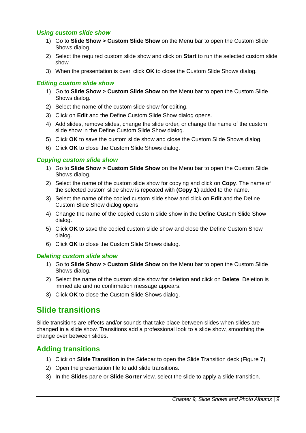#### <span id="page-8-5"></span>*Using custom slide show*

- 1) Go to **Slide Show > Custom Slide Show** on the Menu bar to open the Custom Slide Shows dialog.
- 2) Select the required custom slide show and click on **Start** to run the selected custom slide show.
- 3) When the presentation is over, click **OK** to close the Custom Slide Shows dialog.

#### <span id="page-8-4"></span>*Editing custom slide show*

- 1) Go to **Slide Show > Custom Slide Show** on the Menu bar to open the Custom Slide Shows dialog.
- 2) Select the name of the custom slide show for editing.
- 3) Click on **Edit** and the Define Custom Slide Show dialog opens.
- 4) Add slides, remove slides, change the slide order, or change the name of the custom slide show in the Define Custom Slide Show dialog.
- 5) Click **OK** to save the custom slide show and close the Custom Slide Shows dialog.
- 6) Click **OK** to close the Custom Slide Shows dialog.

#### <span id="page-8-3"></span>*Copying custom slide show*

- 1) Go to **Slide Show > Custom Slide Show** on the Menu bar to open the Custom Slide Shows dialog.
- 2) Select the name of the custom slide show for copying and click on **Copy**. The name of the selected custom slide show is repeated with **(Copy 1)** added to the name.
- 3) Select the name of the copied custom slide show and click on **Edit** and the Define Custom Slide Show dialog opens.
- 4) Change the name of the copied custom slide show in the Define Custom Slide Show dialog.
- 5) Click **OK** to save the copied custom slide show and close the Define Custom Show dialog.
- 6) Click **OK** to close the Custom Slide Shows dialog.

#### <span id="page-8-2"></span>*Deleting custom slide show*

- 1) Go to **Slide Show > Custom Slide Show** on the Menu bar to open the Custom Slide Shows dialog.
- 2) Select the name of the custom slide show for deletion and click on **Delete**. Deletion is immediate and no confirmation message appears.
- 3) Click **OK** to close the Custom Slide Shows dialog.

## <span id="page-8-0"></span>**Slide transitions**

Slide transitions are effects and/or sounds that take place between slides when slides are changed in a slide show. Transitions add a professional look to a slide show, smoothing the change over between slides.

#### <span id="page-8-1"></span>**Adding transitions**

- 1) Click on **Slide Transition** in the Sidebar to open the Slide Transition deck (Figure [7\)](#page-9-0).
- 2) Open the presentation file to add slide transitions.
- 3) In the **Slides** pane or **Slide Sorter** view, select the slide to apply a slide transition.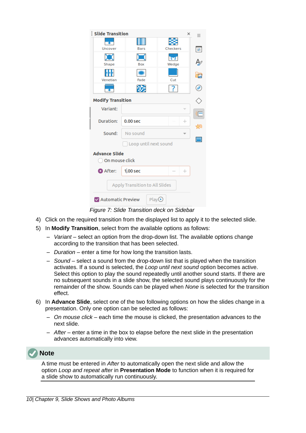| Slide Transition                       |                                |                    | $\times$ | Ξ  |
|----------------------------------------|--------------------------------|--------------------|----------|----|
| Uncover                                | <b>Bars</b>                    | Checkers           |          | ÷, |
| Shape                                  | Box                            | प्रा<br>Wedge      |          | ₽  |
| Venetian                               | Fade                           | Cut                |          | 区  |
|                                        |                                |                    |          | ø  |
| <b>Modify Transition</b>               |                                |                    |          |    |
| Variant:                               |                                | v                  |          |    |
| Duration:                              | $0.00$ sec                     | $\hspace{0.1mm} +$ |          |    |
| Sound:                                 | No sound                       |                    |          |    |
|                                        | Loop until next sound          |                    |          |    |
| <b>Advance Slide</b><br>On mouse click |                                |                    |          |    |
| <b>O</b> After:                        | $1,00$ sec                     | $^{+}$             |          |    |
|                                        | Apply Transition to All Slides |                    |          |    |
| MAutomatic Preview                     | Play <sup>O</sup>              |                    |          |    |

<span id="page-9-0"></span>*Figure 7: Slide Transition deck on Sidebar*

- 4) Click on the required transition from the displayed list to apply it to the selected slide.
- 5) In **Modify Transition**, select from the available options as follows:
	- *Variant* select an option from the drop-down list. The available options change according to the transition that has been selected.
	- *Duration* enter a time for how long the transition lasts.
	- *Sound* select a sound from the drop-down list that is played when the transition activates. If a sound is selected, the *Loop until next sound* option becomes active. Select this option to play the sound repeatedly until another sound starts. If there are no subsequent sounds in a slide show, the selected sound plays continuously for the remainder of the show. Sounds can be played when *None* is selected for the transition effect.
- 6) In **Advance Slide**, select one of the two following options on how the slides change in a presentation. Only one option can be selected as follows:
	- *On mouse click* each time the mouse is clicked, the presentation advances to the next slide.
	- *After* enter a time in the box to elapse before the next slide in the presentation advances automatically into view.



A time must be entered in *After* to automatically open the next slide and allow the option *Loop and repeat after* in **Presentation Mode** to function when it is required for a slide show to automatically run continuously.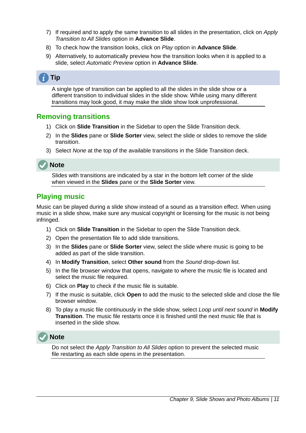- 7) If required and to apply the same transition to all slides in the presentation, click on *Apply Transition to All Slides* option in **Advance Slide**.
- 8) To check how the transition looks, click on *Play* option in **Advance Slide**.
- 9) Alternatively, to automatically preview how the transition looks when it is applied to a slide, select *Automatic Preview* option in **Advance Slide**.

# **Tip**

A single type of transition can be applied to all the slides in the slide show or a different transition to individual slides in the slide show. While using many different transitions may look good, it may make the slide show look unprofessional.

#### <span id="page-10-1"></span>**Removing transitions**

- 1) Click on **Slide Transition** in the Sidebar to open the Slide Transition deck.
- 2) In the **Slides** pane or **Slide Sorter** view, select the slide or slides to remove the slide transition.
- 3) Select *None* at the top of the available transitions in the Slide Transition deck.



Slides with transitions are indicated by a star in the bottom left corner of the slide when viewed in the **Slides** pane or the **Slide Sorter** view.

#### <span id="page-10-0"></span>**Playing music**

Music can be played during a slide show instead of a sound as a transition effect. When using music in a slide show, make sure any musical copyright or licensing for the music is not being infringed.

- 1) Click on **Slide Transition** in the Sidebar to open the Slide Transition deck.
- 2) Open the presentation file to add slide transitions.
- 3) In the **Slides** pane or **Slide Sorter** view, select the slide where music is going to be added as part of the slide transition.
- 4) In **Modify Transition**, select **Other sound** from the *Sound* drop-down list.
- 5) In the file browser window that opens, navigate to where the music file is located and select the music file required.
- 6) Click on **Play** to check if the music file is suitable.
- 7) If the music is suitable, click **Open** to add the music to the selected slide and close the file browser window.
- 8) To play a music file continuously in the slide show, select *Loop until next sound* in **Modify Transition**. The music file restarts once it is finished until the next music file that is inserted in the slide show.



Do not select the *Apply Transition to All Slides* option to prevent the selected music file restarting as each slide opens in the presentation.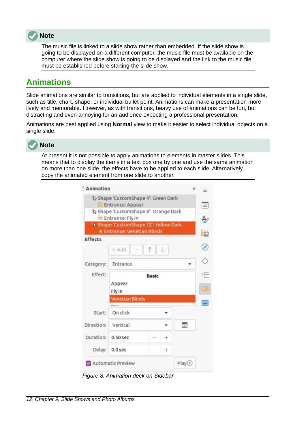

The music file is linked to a slide show rather than embedded. If the slide show is going to be displayed on a different computer, the music file must be available on the computer where the slide show is going to be displayed and the link to the music file must be established before starting the slide show.

# <span id="page-11-0"></span>**Animations**

Slide animations are similar to transitions, but are applied to individual elements in a single slide, such as title, chart, shape, or individual bullet point. Animations can make a presentation more lively and memorable. However, as with transitions, heavy use of animations can be fun, but distracting and even annoying for an audience expecting a professional presentation.

Animations are best applied using **Normal** view to make it easier to select individual objects on a single slide.



**Note**

At present it is not possible to apply animations to elements in master slides. This means that to display the items in a text box one by one and use the same animation on more than one slide, the effects have to be applied to each slide. Alternatively, copy the animated element from one slide to another.

|                | Shape 'CustomShape 4': Green Dark<br>Entrance: Appear              |              |      |                   | $\pm$    |
|----------------|--------------------------------------------------------------------|--------------|------|-------------------|----------|
|                | Shape 'CustomShape 8': Orange Dark<br>Entrance: Fly In             |              |      |                   | Ą,       |
|                | Shape 'CustomShape 12': Yellow Dark<br>* Entrance: Venetian Blinds |              |      |                   | 區        |
| <b>Effects</b> | $+$ Add                                                            | ↑            | J    |                   | $\cal O$ |
| Category:      | Entrance                                                           |              |      |                   |          |
| <b>Effect:</b> | Appear<br>Fly In                                                   | <b>Basic</b> |      |                   | ÷<br>岗   |
|                | <b>Venetian Blinds</b>                                             |              |      |                   | Ħ        |
| Start:         | On click                                                           |              |      |                   |          |
| Direction:     | Vertical                                                           |              |      | 霍                 |          |
| Duration:      | $0.50$ sec                                                         |              | ÷    |                   |          |
| Delay:         | $0.0$ sec                                                          |              | $^+$ |                   |          |
|                | Automatic Preview                                                  |              |      | Play <sup>C</sup> |          |

<span id="page-11-1"></span>*Figure 8: Animation deck on Sidebar*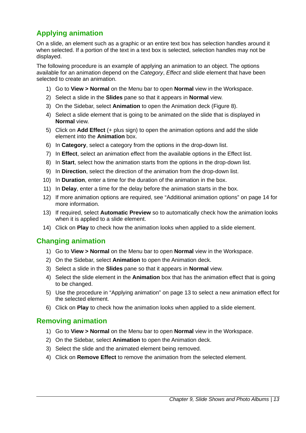# <span id="page-12-2"></span>**Applying animation**

On a slide, an element such as a graphic or an entire text box has selection handles around it when selected. If a portion of the text in a text box is selected, selection handles may not be displayed.

The following procedure is an example of applying an animation to an object. The options available for an animation depend on the *Category*, *Effect* and slide element that have been selected to create an animation.

- 1) Go to **View > Normal** on the Menu bar to open **Normal** view in the Workspace.
- 2) Select a slide in the **Slides** pane so that it appears in **Normal** view.
- 3) On the Sidebar, select **Animation** to open the Animation deck (Figure [8\)](#page-11-1).
- 4) Select a slide element that is going to be animated on the slide that is displayed in **Normal** view.
- 5) Click on **Add Effect** (+ plus sign) to open the animation options and add the slide element into the **Animation** box.
- 6) In **Category**, select a category from the options in the drop-down list.
- 7) In **Effect**, select an animation effect from the available options in the Effect list.
- 8) In **Start**, select how the animation starts from the options in the drop-down list.
- 9) In **Direction**, select the direction of the animation from the drop-down list.
- 10) In **Duration**, enter a time for the duration of the animation in the box.
- 11) In **Delay**, enter a time for the delay before the animation starts in the box.
- 12) If more animation options are required, see ["Additional animation options"](#page-13-1) on page [14](#page-13-1) for more information.
- 13) If required, select **Automatic Preview** so to automatically check how the animation looks when it is applied to a slide element.
- 14) Click on **Play** to check how the animation looks when applied to a slide element.

#### <span id="page-12-1"></span>**Changing animation**

- 1) Go to **View > Normal** on the Menu bar to open **Normal** view in the Workspace.
- 2) On the Sidebar, select **Animation** to open the Animation deck.
- 3) Select a slide in the **Slides** pane so that it appears in **Normal** view.
- 4) Select the slide element in the **Animation** box that has the animation effect that is going to be changed.
- 5) Use the procedure in "[Applying animation"](#page-12-2) on page [13](#page-12-2) to select a new animation effect for the selected element.
- 6) Click on **Play** to check how the animation looks when applied to a slide element.

#### <span id="page-12-0"></span>**Removing animation**

- 1) Go to **View > Normal** on the Menu bar to open **Normal** view in the Workspace.
- 2) On the Sidebar, select **Animation** to open the Animation deck.
- 3) Select the slide and the animated element being removed.
- 4) Click on **Remove Effect** to remove the animation from the selected element.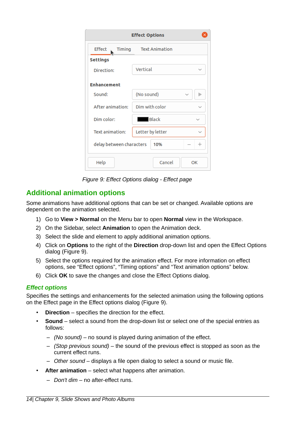| <b>Effect Options</b>                     |                              |  |  |  |  |
|-------------------------------------------|------------------------------|--|--|--|--|
| Text Animation<br>Timing<br>Effect        |                              |  |  |  |  |
| <b>Settings</b>                           |                              |  |  |  |  |
| Direction:                                | Vertical<br>$\checkmark$     |  |  |  |  |
| <b>Enhancement</b>                        |                              |  |  |  |  |
| Sound:                                    | (No sound)                   |  |  |  |  |
| After animation:                          | Dim with color               |  |  |  |  |
| Dim color:                                | <b>Black</b><br>$\checkmark$ |  |  |  |  |
| Text animation:                           | Letter by letter             |  |  |  |  |
| delay between characters<br>10%<br>$^{+}$ |                              |  |  |  |  |
| Help                                      | Cancel<br>OK                 |  |  |  |  |

<span id="page-13-2"></span>*Figure 9: Effect Options dialog - Effect page*

#### <span id="page-13-1"></span>**Additional animation options**

Some animations have additional options that can be set or changed. Available options are dependent on the animation selected.

- 1) Go to **View > Normal** on the Menu bar to open **Normal** view in the Workspace.
- 2) On the Sidebar, select **Animation** to open the Animation deck.
- 3) Select the slide and element to apply additional animation options.
- 4) Click on **Options** to the right of the **Direction** drop-down list and open the Effect Options dialog (Figure [9](#page-13-2)).
- 5) Select the options required for the animation effect. For more information on effect options, see ["Effect options](#page-13-0)", "[Timing options](#page-14-0)" and "[Text animation options](#page-15-1)" below.
- 6) Click **OK** to save the changes and close the Effect Options dialog.

#### <span id="page-13-0"></span>*Effect options*

Specifies the settings and enhancements for the selected animation using the following options on the Effect page in the Effect options dialog (Figure [9](#page-13-2)).

- **Direction** specifies the direction for the effect.
- **Sound** select a sound from the drop-down list or select one of the special entries as follows:
	- *(No sound)* no sound is played during animation of the effect.
	- *(Stop previous sound)* the sound of the previous effect is stopped as soon as the current effect runs.
	- *Other sound* displays a file open dialog to select a sound or music file.
- **After animation** select what happens after animation.
	- *Don't dim* no after-effect runs.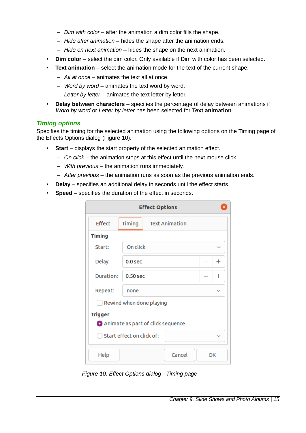- *Dim with color* after the animation a dim color fills the shape.
- *Hide after animation* hides the shape after the animation ends.
- *Hide on next animation* hides the shape on the next animation.
- **Dim color** select the dim color. Only available if Dim with color has been selected.
- **Text animation** select the animation mode for the text of the current shape:
	- *All at once* animates the text all at once.
	- *Word by word* animates the text word by word.
	- *Letter by letter* animates the text letter by letter.
- **Delay between characters** specifies the percentage of delay between animations if *Word by word* or *Letter by letter* has been selected for **Text animation**.

#### <span id="page-14-0"></span>*Timing options*

Specifies the timing for the selected animation using the following options on the Timing page of the Effects Options dialog (Figure [10](#page-14-1)).

- **Start** displays the start property of the selected animation effect.
	- *On click* the animation stops at this effect until the next mouse click.
	- *With previous* the animation runs immediately.
	- *After previous* the animation runs as soon as the previous animation ends.
- **Delay** specifies an additional delay in seconds until the effect starts.
- **Speed** specifies the duration of the effect in seconds.

| <b>Effect Options</b>                               |                    |                       |        |  |                    |
|-----------------------------------------------------|--------------------|-----------------------|--------|--|--------------------|
| Effect                                              | Timing             | <b>Text Animation</b> |        |  |                    |
| <b>Timing</b>                                       |                    |                       |        |  |                    |
| Start:                                              | On click           |                       |        |  | $\checkmark$       |
| Delay:                                              | 0.0 <sub>sec</sub> |                       |        |  | $^{+}$             |
| Duration:                                           | $0.50$ sec         |                       |        |  | $\hspace{0.1mm} +$ |
| Repeat:                                             | none               |                       |        |  | $\checkmark$       |
| Rewind when done playing                            |                    |                       |        |  |                    |
| <b>Trigger</b><br>Animate as part of click sequence |                    |                       |        |  |                    |
| Start effect on click of:                           |                    |                       |        |  |                    |
| Help                                                |                    |                       | Cancel |  | OK                 |

<span id="page-14-1"></span>*Figure 10: Effect Options dialog - Timing page*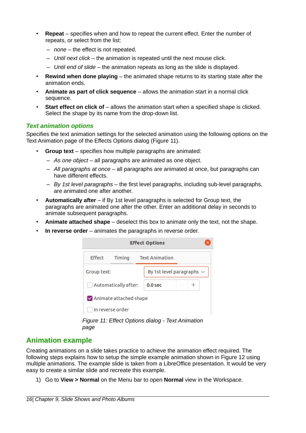- **Repeat** specifies when and how to repeat the current effect. Enter the number of repeats, or select from the list:
	- *none* the effect is not repeated.
	- *Until next click* the animation is repeated until the next mouse click.
	- *Until end of slide* the animation repeats as long as the slide is displayed.
- **Rewind when done playing** the animated shape returns to its starting state after the animation ends.
- **Animate as part of click sequence** allows the animation start in a normal click sequence.
- **Start effect on click of** allows the animation start when a specified shape is clicked. Select the shape by its name from the drop-down list.

#### <span id="page-15-1"></span>*Text animation options*

Specifies the text animation settings for the selected animation using the following options on the Text Animation page of the Effects Options dialog (Figure [11](#page-15-2)).

- **Group text** specifies how multiple paragraphs are animated:
	- *As one object* all paragraphs are animated as one object.
	- *All paragraphs at once* all paragraphs are animated at once, but paragraphs can have different effects.
	- *By 1st level paragraphs* the first level paragraphs, including sub-level paragraphs, are animated one after another.
- **Automatically after** if By 1st level paragraphs is selected for Group text, the paragraphs are animated one after the other. Enter an additional delay in seconds to animate subsequent paragraphs.
- **Animate attached shape** deselect this box to animate only the text, not the shape.
- **In reverse order** animates the paragraphs in reverse order.



*Figure 11: Effect Options dialog - Text Animation page*

## <span id="page-15-2"></span><span id="page-15-0"></span>**Animation example**

Creating animations on a slide takes practice to achieve the animation effect required. The following steps explains how to setup the simple example animation shown in Figure [12](#page-16-1) using multiple animations. The example slide is taken from a LibreOffice presentation. It would be very easy to create a similar slide and recreate this example.

1) Go to **View > Normal** on the Menu bar to open **Normal** view in the Workspace.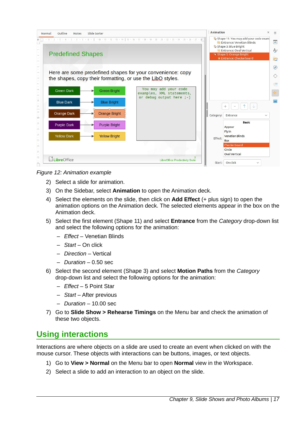| Outline<br>Normal<br><b>Notes</b>        | Slide Sorter                                 |                                                                                                                                                                                                                                                                                                                                                                                                                                                                     | Animation |                                                                                                                                                                                          | × |
|------------------------------------------|----------------------------------------------|---------------------------------------------------------------------------------------------------------------------------------------------------------------------------------------------------------------------------------------------------------------------------------------------------------------------------------------------------------------------------------------------------------------------------------------------------------------------|-----------|------------------------------------------------------------------------------------------------------------------------------------------------------------------------------------------|---|
| <b>Predefined Shapes</b>                 |                                              | $-1 \quad -2 \quad -3 \quad -4 \quad -5 \quad -6 \quad -7 \quad -8 \quad -1 \quad -10 \quad -11 \quad -2 \quad -13 \quad -14 \quad -15 \quad -16 \quad -17 \quad -18 \quad -19 \quad -20 \quad -21 \quad -22 \quad -23 \quad -24 \quad -25 \quad -26 \quad -27 \quad -28 \quad -29 \quad -20 \quad -21 \quad -22 \quad -23 \quad -24 \quad -25 \quad -26 \quad -27 \quad -28 \quad -29 \quad -20 \quad -21 \quad -22 \quad -23 \quad -24 \quad -25 \quad -26 \quad$ |           | Shape 11: You may add your code exam<br>Entrance: Venetian Blinds<br>As Shape 3: Blue Bright<br>Entrance: Oval Vertical<br><sup>1</sup> Shape 5: Orange Bright<br>Entrance: Checkerboard |   |
|                                          |                                              | Here are some predefined shapes for your convenience: copy<br>the shapes, copy their formatting, or use the LibQ styles.                                                                                                                                                                                                                                                                                                                                            |           |                                                                                                                                                                                          |   |
| <b>Green Dark</b>                        | <b>Green Bright</b>                          | You may add your code<br>examples, XML statements,<br>or debug output here $;-)$                                                                                                                                                                                                                                                                                                                                                                                    |           |                                                                                                                                                                                          |   |
| <b>Blue Dark</b>                         | <b>Blue Bright</b>                           |                                                                                                                                                                                                                                                                                                                                                                                                                                                                     |           | $+$<br>$\overline{\phantom{m}}$                                                                                                                                                          |   |
| <b>Orange Dark</b><br><b>Purple Dark</b> | <b>Orange Bright</b><br><b>Purple Bright</b> |                                                                                                                                                                                                                                                                                                                                                                                                                                                                     | Category: | Entrance<br><b>Basic</b>                                                                                                                                                                 |   |
| <b>Yellow Dark</b>                       | <b>Yellow Bright</b>                         |                                                                                                                                                                                                                                                                                                                                                                                                                                                                     | Effect:   | Appear<br>Fly In<br><b>Venetian Blinds</b><br><b>Box</b>                                                                                                                                 |   |
|                                          |                                              |                                                                                                                                                                                                                                                                                                                                                                                                                                                                     |           | Checkerboard<br>Circle<br><b>Oval Vertical</b>                                                                                                                                           |   |
| LibreOffice                              |                                              | <b>LibreOffice Productivity Suite</b>                                                                                                                                                                                                                                                                                                                                                                                                                               | Start:    | On click<br>$\checkmark$                                                                                                                                                                 |   |



- <span id="page-16-1"></span>2) Select a slide for animation.
- 3) On the Sidebar, select **Animation** to open the Animation deck.
- 4) Select the elements on the slide, then click on **Add Effect** (+ plus sign) to open the animation options on the Animation deck. The selected elements appear in the box on the Animation deck.
- 5) Select the first element (Shape 11) and select **Entrance** from the *Category* drop-down list and select the following options for the animation:
	- *Effect* Venetian Blinds
	- *Start* On click
	- *Direction* Vertical
	- *Duration* 0.50 sec
- 6) Select the second element (Shape 3) and select **Motion Paths** from the *Category* drop-down list and select the following options for the animation:
	- *Effect* 5 Point Star
	- *Start* After previous
	- *Duration* 10.00 sec
- 7) Go to **Slide Show > Rehearse Timings** on the Menu bar and check the animation of these two objects.

# <span id="page-16-0"></span>**Using interactions**

Interactions are where objects on a slide are used to create an event when clicked on with the mouse cursor. These objects with interactions can be buttons, images, or text objects.

- 1) Go to **View > Normal** on the Menu bar to open **Normal** view in the Workspace.
- 2) Select a slide to add an interaction to an object on the slide.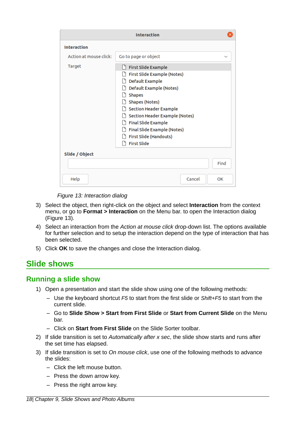| <b>Interaction</b>     |                                                                                                                                                                                                                                                                                                                    |        |      |  |
|------------------------|--------------------------------------------------------------------------------------------------------------------------------------------------------------------------------------------------------------------------------------------------------------------------------------------------------------------|--------|------|--|
| <b>Interaction</b>     |                                                                                                                                                                                                                                                                                                                    |        |      |  |
| Action at mouse click: | Go to page or object                                                                                                                                                                                                                                                                                               |        |      |  |
| Target                 | First Slide Example<br>۱۶<br>First Slide Example (Notes)<br>Default Example<br>Default Example (Notes)<br><b>Shapes</b><br>Shapes (Notes)<br>Section Header Example<br>Section Header Example (Notes)<br><b>Final Slide Example</b><br>Final Slide Example (Notes)<br>First Slide (Handouts)<br><b>First Slide</b> |        |      |  |
| Slide / Object         |                                                                                                                                                                                                                                                                                                                    |        |      |  |
|                        |                                                                                                                                                                                                                                                                                                                    |        | Find |  |
| Help                   |                                                                                                                                                                                                                                                                                                                    | Cancel | OK   |  |

<span id="page-17-2"></span>*Figure 13: Interaction dialog*

- 3) Select the object, then right-click on the object and select **Interaction** from the context menu, or go to **Format > Interaction** on the Menu bar. to open the Interaction dialog (Figure [13](#page-17-2)).
- 4) Select an interaction from the *Action at mouse click* drop-down list. The options available for further selection and to setup the interaction depend on the type of interaction that has been selected.
- 5) Click **OK** to save the changes and close the Interaction dialog.

# <span id="page-17-1"></span>**Slide shows**

#### <span id="page-17-0"></span>**Running a slide show**

- 1) Open a presentation and start the slide show using one of the following methods:
	- Use the keyboard shortcut *F5* to start from the first slide or *Shift+F5* to start from the current slide.
	- Go to **Slide Show > Start from First Slide** or **Start from Current Slide** on the Menu bar.
	- Click on **Start from First Slide** on the Slide Sorter toolbar.
- 2) If slide transition is set to *Automatically after x sec*, the slide show starts and runs after the set time has elapsed.
- 3) If slide transition is set to *On mouse click*, use one of the following methods to advance the slides:
	- Click the left mouse button.
	- Press the down arrow key.
	- Press the right arrow key.

*18| Chapter 9, Slide Shows and Photo Albums*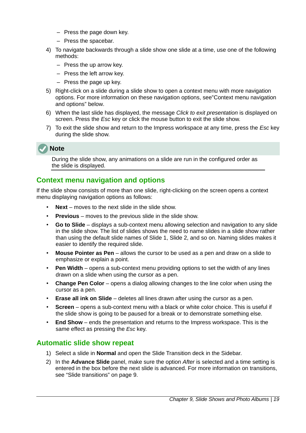- Press the page down key.
- Press the spacebar.
- 4) To navigate backwards through a slide show one slide at a time, use one of the following methods:
	- Press the up arrow key.
	- Press the left arrow key.
	- Press the page up key.
- 5) Right-click on a slide during a slide show to open a context menu with more navigation options. For more information on these navigation options, see"[Context menu navigation](#page-18-1)  [and options" below](#page-18-1).
- 6) When the last slide has displayed, the message *Click to exit presentation* is displayed on screen. Press the *Esc* key or click the mouse button to exit the slide show.
- 7) To exit the slide show and return to the Impress workspace at any time, press the *Esc* key during the slide show.



During the slide show, any animations on a slide are run in the configured order as the slide is displayed.

#### <span id="page-18-1"></span>**Context menu navigation and options**

If the slide show consists of more than one slide, right-clicking on the screen opens a context menu displaying navigation options as follows:

- **Next** moves to the next slide in the slide show.
- **Previous** moves to the previous slide in the slide show.
- **Go to Slide** displays a sub-context menu allowing selection and navigation to any slide in the slide show. The list of slides shows the need to name slides in a slide show rather than using the default slide names of Slide 1, Slide 2, and so on. Naming slides makes it easier to identify the required slide.
- **Mouse Pointer as Pen** allows the cursor to be used as a pen and draw on a slide to emphasize or explain a point.
- **Pen Width** opens a sub-context menu providing options to set the width of any lines drawn on a slide when using the cursor as a pen.
- **Change Pen Color** opens a dialog allowing changes to the line color when using the cursor as a pen.
- **Erase all ink on Slide** deletes all lines drawn after using the cursor as a pen.
- **Screen** opens a sub-context menu with a black or white color choice. This is useful if the slide show is going to be paused for a break or to demonstrate something else.
- **End Show** ends the presentation and returns to the Impress workspace. This is the same effect as pressing the *Esc* key.

#### <span id="page-18-0"></span>**Automatic slide show repeat**

- 1) Select a slide in **Normal** and open the Slide Transition deck in the Sidebar.
- 2) In the **Advance Slide** panel, make sure the option *After* is selected and a time setting is entered in the box before the next slide is advanced. For more information on transitions, see ["Slide transitions"](#page-8-0) on page [9.](#page-8-0)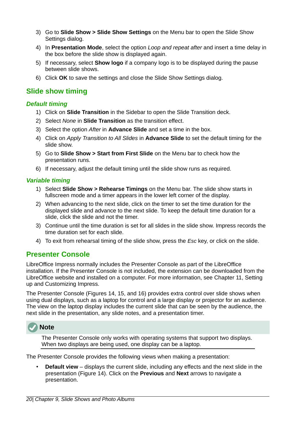- 3) Go to **Slide Show > Slide Show Settings** on the Menu bar to open the Slide Show Settings dialog.
- 4) In **Presentation Mode**, select the option *Loop and repeat after* and insert a time delay in the box before the slide show is displayed again.
- 5) If necessary, select **Show logo** if a company logo is to be displayed during the pause between slide shows.
- 6) Click **OK** to save the settings and close the Slide Show Settings dialog.

#### <span id="page-19-2"></span>**Slide show timing**

#### <span id="page-19-1"></span>*Default timing*

- 1) Click on **Slide Transition** in the Sidebar to open the Slide Transition deck.
- 2) Select *None* in **Slide Transition** as the transition effect.
- 3) Select the option *After* in **Advance Slide** and set a time in the box.
- 4) Click on *Apply Transition to All Slides* in **Advance Slide** to set the default timing for the slide show.
- 5) Go to **Slide Show > Start from First Slide** on the Menu bar to check how the presentation runs.
- 6) If necessary, adjust the default timing until the slide show runs as required.

#### <span id="page-19-3"></span>*Variable timing*

- 1) Select **Slide Show > Rehearse Timings** on the Menu bar. The slide show starts in fullscreen mode and a timer appears in the lower left corner of the display.
- 2) When advancing to the next slide, click on the timer to set the time duration for the displayed slide and advance to the next slide. To keep the default time duration for a slide, click the slide and not the timer.
- 3) Continue until the time duration is set for all slides in the slide show. Impress records the time duration set for each slide.
- 4) To exit from rehearsal timing of the slide show, press the *Esc* key, or click on the slide.

#### <span id="page-19-0"></span>**Presenter Console**

LibreOffice Impress normally includes the Presenter Console as part of the LibreOffice installation. If the Presenter Console is not included, the extension can be downloaded from the LibreOffice website and installed on a computer. For more information, see Chapter 11, Setting up and Customizing Impress.

The Presenter Console (Figures [14,](#page-20-0) [15](#page-20-1), and [16](#page-21-2)) provides extra control over slide shows when using dual displays, such as a laptop for control and a large display or projector for an audience. The view on the laptop display includes the current slide that can be seen by the audience, the next slide in the presentation, any slide notes, and a presentation timer.



The Presenter Console only works with operating systems that support two displays. When two displays are being used, one display can be a laptop.

The Presenter Console provides the following views when making a presentation:

**Default view** – displays the current slide, including any effects and the next slide in the presentation (Figure [14](#page-20-0)). Click on the **Previous** and **Next** arrows to navigate a presentation.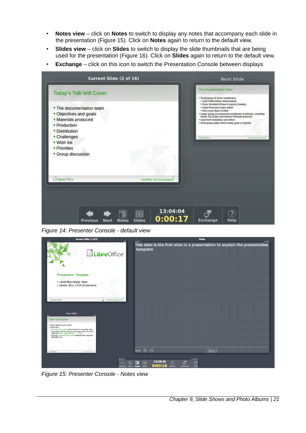- **Notes view** click on **Notes** to switch to display any notes that accompany each slide in the presentation (Figure [15](#page-20-1)). Click on **Notes** again to return to the default view.
- **Slides view** click on **Slides** to switch to display the slide thumbnails that are being used for the presentation (Figure [16](#page-21-2)). Click on **Slides** again to return to the default view.
- **Exchange** click on this icon to switch the Presentation Console between displays.



<span id="page-20-0"></span>*Figure 14: Presenter Console - default view*



<span id="page-20-1"></span>*Figure 15: Presenter Console - Notes view*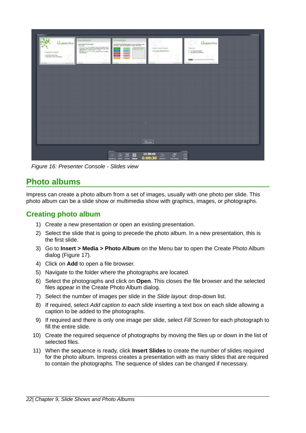| LibreOffice <sup>®</sup><br>Presentation Template<br>In LibreOffice Design Team<br>* Version 2011-10-20 (Production)<br><b>Lines May</b> | Default Slide Example<br>. Here is space for your content<br>* Some hints:<br>Title the master pages being the basis for the debuit sides<br>. It would be useful to add your presentation title to the focus.<br>A&I & via loser - Page Number  - Footer<br>* Use the LibreOffice Color Palette delivered with LibreOffice<br>(library/flice.acc)<br><b><i>Commercial</i></b><br><b>CAMPBELL FACULATION INC.</b> | Pre-detred Shapes<br>Here are some pre-defined shapes for your convenience: copy<br>the shapes, copy their formatting, or use the LibO styles.<br>The Rey Add part come<br>capital DRL chatagority<br>r debug output form :-)<br><b>Contact</b><br><b>Castles</b><br><b>Course Angle</b><br><b>Public Earls</b><br><b>Publisher</b><br>- Tales high<br><b>Children</b><br><b><i>Statistics</i></b> | Section Header Example<br>You may add additional text here<br>Changes and | LibreOffice <sup>®</sup><br>Thank you<br>* for using this template!<br>* for supporting LibraOffice!<br><b>FEED IN NOVA PERSONAL ARRAIGNMENT</b><br><b>Service Control</b><br><b>LEAST CONTRACTOR</b> |  |
|------------------------------------------------------------------------------------------------------------------------------------------|-------------------------------------------------------------------------------------------------------------------------------------------------------------------------------------------------------------------------------------------------------------------------------------------------------------------------------------------------------------------------------------------------------------------|----------------------------------------------------------------------------------------------------------------------------------------------------------------------------------------------------------------------------------------------------------------------------------------------------------------------------------------------------------------------------------------------------|---------------------------------------------------------------------------|-------------------------------------------------------------------------------------------------------------------------------------------------------------------------------------------------------|--|
|                                                                                                                                          |                                                                                                                                                                                                                                                                                                                                                                                                                   |                                                                                                                                                                                                                                                                                                                                                                                                    |                                                                           |                                                                                                                                                                                                       |  |
|                                                                                                                                          |                                                                                                                                                                                                                                                                                                                                                                                                                   | D.                                                                                                                                                                                                                                                                                                                                                                                                 | <b>Close</b>                                                              |                                                                                                                                                                                                       |  |
|                                                                                                                                          |                                                                                                                                                                                                                                                                                                                                                                                                                   | <b>調器</b><br>$\circledcirc$<br>$\circledcirc$<br>Previous Next Notes Sildes                                                                                                                                                                                                                                                                                                                        | 12:38:43<br>$\vec{c}$<br>$\odot$<br>0:00:30 Restart Exchange              | $\circledcirc$<br>Help                                                                                                                                                                                |  |

<span id="page-21-2"></span>*Figure 16: Presenter Console - Slides view*

# <span id="page-21-1"></span>**Photo albums**

Impress can create a photo album from a set of images, usually with one photo per slide. This photo album can be a slide show or multimedia show with graphics, images, or photographs.

## <span id="page-21-0"></span>**Creating photo album**

- 1) Create a new presentation or open an existing presentation.
- 2) Select the slide that is going to precede the photo album. In a new presentation, this is the first slide.
- 3) Go to **Insert > Media > Photo Album** on the Menu bar to open the Create Photo Album dialog (Figure [17](#page-22-1)).
- 4) Click on **Add** to open a file browser.
- 5) Navigate to the folder where the photographs are located.
- 6) Select the photographs and click on **Open**. This closes the file browser and the selected files appear in the Create Photo Album dialog.
- 7) Select the number of images per slide in the *Slide layout:* drop-down list.
- 8) If required, select *Add caption to each slide* inserting a text box on each slide allowing a caption to be added to the photographs.
- 9) If required and there is only one image per slide, select *Fill Screen* for each photograph to fill the entire slide.
- 10) Create the required sequence of photographs by moving the files up or down in the list of selected files.
- 11) When the sequence is ready, click **Insert Slides** to create the number of slides required for the photo album. Impress creates a presentation with as many slides that are required to contain the photographs. The sequence of slides can be changed if necessary.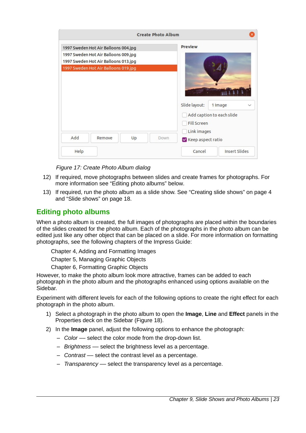| <b>Create Photo Album</b>                                                                                                                                    |                                                                                                                                 |
|--------------------------------------------------------------------------------------------------------------------------------------------------------------|---------------------------------------------------------------------------------------------------------------------------------|
| 1997 Sweden Hot Air Balloons 004.jpg<br>1997 Sweden Hot Air Balloons 009.jpg<br>1997 Sweden Hot Air Balloons 013.jpg<br>1997 Sweden Hot Air Balloons 019.jpg | <b>Preview</b>                                                                                                                  |
| Add<br>Remove<br>Up<br>Down                                                                                                                                  | Slide layout:<br>1 Image<br>$\checkmark$<br>Add caption to each slide<br><b>Fill Screen</b><br>Link images<br>Keep aspect ratio |
| Help                                                                                                                                                         | <b>Insert Slides</b><br>Cancel                                                                                                  |

<span id="page-22-1"></span>*Figure 17: Create Photo Album dialog*

- 12) If required, move photographs between slides and create frames for photographs. For more information see "[Editing photo albums" below](#page-22-0).
- 13) If required, run the photo album as a slide show. See ["Creating slide shows"](#page-3-1) on page [4](#page-3-1) and "[Slide shows"](#page-17-1) on page [18](#page-17-1).

## <span id="page-22-0"></span>**Editing photo albums**

When a photo album is created, the full images of photographs are placed within the boundaries of the slides created for the photo album. Each of the photographs in the photo album can be edited just like any other object that can be placed on a slide. For more information on formatting photographs, see the following chapters of the Impress Guide:

Chapter 4, Adding and Formatting Images

Chapter 5, Managing Graphic Objects

Chapter 6, Formatting Graphic Objects

However, to make the photo album look more attractive, frames can be added to each photograph in the photo album and the photographs enhanced using options available on the Sidebar.

Experiment with different levels for each of the following options to create the right effect for each photograph in the photo album.

- 1) Select a photograph in the photo album to open the **Image**, **Line** and **Effect** panels in the Properties deck on the Sidebar (Figure [18](#page-23-0)).
- 2) In the **Image** panel, adjust the following options to enhance the photograph:
	- *Color* –– select the color mode from the drop-down list.
	- *Brightness* –– select the brightness level as a percentage.
	- *Contrast* –– select the contrast level as a percentage.
	- *Transparency* –– select the transparency level as a percentage.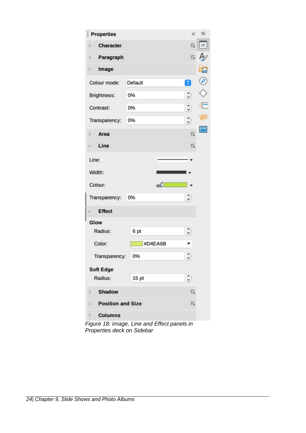| Properties                    |         | ×              | ≡  |
|-------------------------------|---------|----------------|----|
| Character<br>3                |         | 囚              |    |
| Paragraph<br>C)               |         | 门              |    |
| Image                         |         |                |    |
| Colour mode:                  | Default | Θ              | Ø) |
| Brightness:                   | 0%      | $\hat{\cdot}$  |    |
| Contrast:                     | 0%      | $\hat{\cdot}$  | Ē  |
| Transparency:                 | 0%      | $\hat{\cdot}$  |    |
| Area<br>X                     |         | $\overline{u}$ |    |
| Line                          |         | 心              |    |
| Line:                         |         |                |    |
| Width:                        |         |                |    |
| Colour:                       |         |                |    |
| Transparency:                 | 0%      | $\hat{\cdot}$  |    |
| <b>Effect</b>                 |         |                |    |
| Glow                          |         |                |    |
| Radius:                       | 6 pt    | $\hat{\cdot}$  |    |
| Color:                        | #D4EA6B |                |    |
| Transparency:                 | 0%      | $\hat{\cdot}$  |    |
| <b>Soft Edge</b>              |         |                |    |
| Radius:                       | 15 pt   | $\hat{\cdot}$  |    |
| <b>Shadow</b><br>>            |         | 冈              |    |
| <b>Position and Size</b><br>⋗ |         | 12             |    |
| <b>Columns</b><br>Þ.          |         |                |    |

J

<span id="page-23-0"></span>*Figure 18: Image, Line and Effect panels in Properties deck on Sidebar*